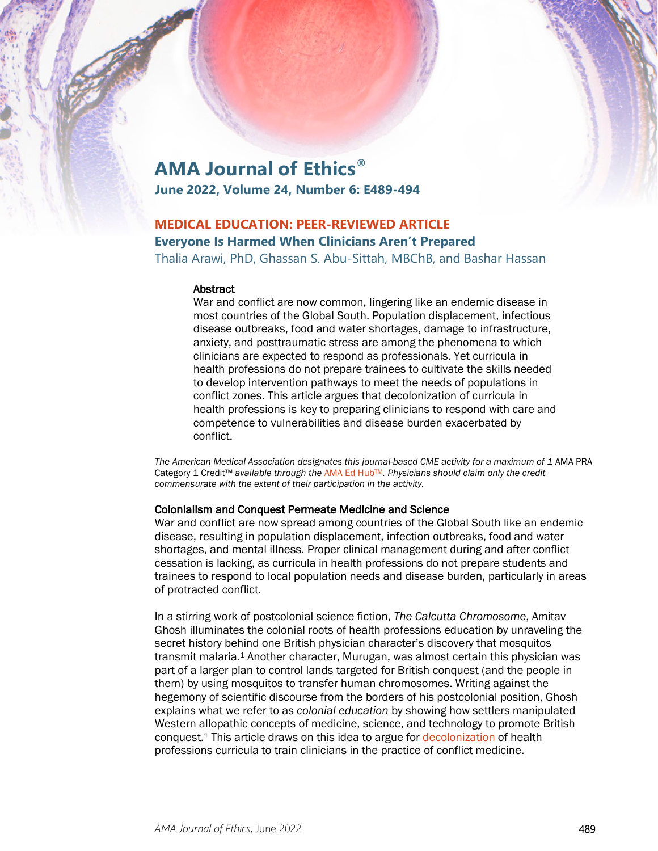# **AMA Journal of Ethics®**

**June 2022, Volume 24, Number 6: E489-494**

# **MEDICAL EDUCATION: PEER-REVIEWED ARTICLE**

## **Everyone Is Harmed When Clinicians Aren't Prepared**

Thalia Arawi, PhD, Ghassan S. Abu-Sittah, MBChB, and Bashar Hassan

#### **Abstract**

War and conflict are now common, lingering like an endemic disease in most countries of the Global South. Population displacement, infectious disease outbreaks, food and water shortages, damage to infrastructure, anxiety, and posttraumatic stress are among the phenomena to which clinicians are expected to respond as professionals. Yet curricula in health professions do not prepare trainees to cultivate the skills needed to develop intervention pathways to meet the needs of populations in conflict zones. This article argues that decolonization of curricula in health professions is key to preparing clinicians to respond with care and competence to vulnerabilities and disease burden exacerbated by conflict.

The American Medical Association designates this journal-based CME activity for a maximum of 1 AMA PRA Category 1 Credit™ *available through the* [AMA Ed HubTM](https://edhub.ama-assn.org/ama-journal-of-ethics/module/2792395)*. Physicians should claim only the credit commensurate with the extent of their participation in the activity.*

### Colonialism and Conquest Permeate Medicine and Science

War and conflict are now spread among countries of the Global South like an endemic disease, resulting in population displacement, infection outbreaks, food and water shortages, and mental illness. Proper clinical management during and after conflict cessation is lacking, as curricula in health professions do not prepare students and trainees to respond to local population needs and disease burden, particularly in areas of protracted conflict.

In a stirring work of postcolonial science fiction, *The Calcutta Chromosome*, Amitav Ghosh illuminates the colonial roots of health professions education by unraveling the secret history behind one British physician character's discovery that mosquitos transmit malaria.<sup>1</sup> Another character, Murugan, was almost certain this physician was part of a larger plan to control lands targeted for British conquest (and the people in them) by using mosquitos to transfer human chromosomes. Writing against the hegemony of scientific discourse from the borders of his postcolonial position, Ghosh explains what we refer to as *colonial education* by showing how settlers manipulated Western allopathic concepts of medicine, science, and technology to promote British conquest.1 This article draws on this idea to argue for [decolonization](https://journalofethics.ama-assn.org/article/using-ocap-and-iq-frameworks-address-history-trauma-indigenous-health-research/2020-10) of health professions curricula to train clinicians in the practice of conflict medicine.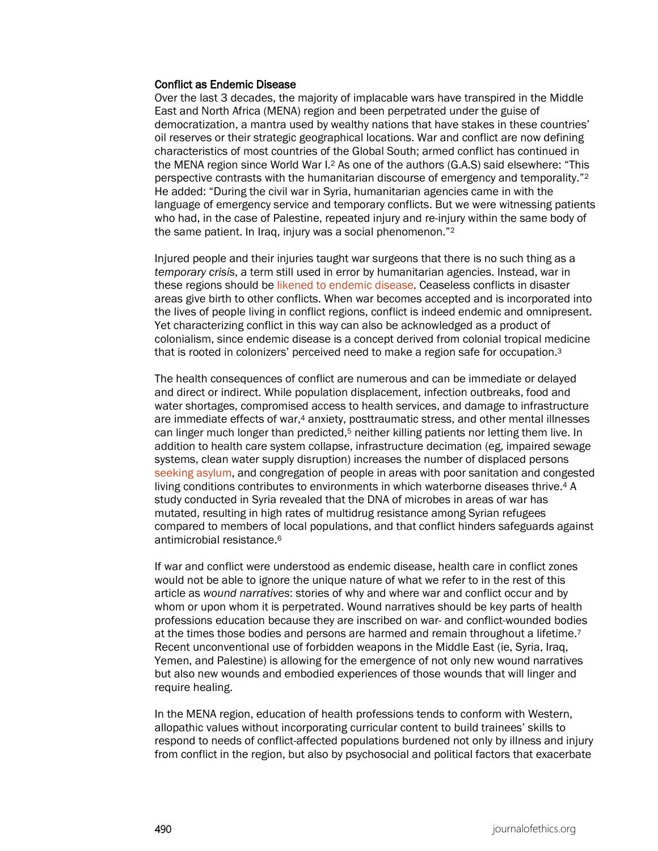#### Conflict as Endemic Disease

Over the last 3 decades, the majority of implacable wars have transpired in the Middle East and North Africa (MENA) region and been perpetrated under the guise of democratization, a mantra used by wealthy nations that have stakes in these countries' oil reserves or their strategic geographical locations. War and conflict are now defining characteristics of most countries of the Global South; armed conflict has continued in the MENA region since World War I.2 As one of the authors (G.A.S) said elsewhere: "This perspective contrasts with the humanitarian discourse of emergency and temporality."2 He added: "During the civil war in Syria, humanitarian agencies came in with the language of emergency service and temporary conflicts. But we were witnessing patients who had, in the case of Palestine, repeated injury and re-injury within the same body of the same patient. In Iraq, injury was a social phenomenon."2

Injured people and their injuries taught war surgeons that there is no such thing as a *temporary crisis*, a term still used in error by humanitarian agencies. Instead, war in these regions should b[e likened to endemic disease.](https://journalofethics.ama-assn.org/article/how-health-sector-can-reduce-violence-treating-it-contagion/2018-01) Ceaseless conflicts in disaster areas give birth to other conflicts. When war becomes accepted and is incorporated into the lives of people living in conflict regions, conflict is indeed endemic and omnipresent. Yet characterizing conflict in this way can also be acknowledged as a product of colonialism, since endemic disease is a concept derived from colonial tropical medicine that is rooted in colonizers' perceived need to make a region safe for occupation.3

The health consequences of conflict are numerous and can be immediate or delayed and direct or indirect. While population displacement, infection outbreaks, food and water shortages, compromised access to health services, and damage to infrastructure are immediate effects of war,4 anxiety, posttraumatic stress, and other mental illnesses can linger much longer than predicted,<sup>5</sup> neither killing patients nor letting them live. In addition to health care system collapse, infrastructure decimation (eg, impaired sewage systems, clean water supply disruption) increases the number of displaced persons [seeking asylum,](https://journalofethics.ama-assn.org/article/how-should-health-care-professionals-address-social-determinants-refugee-health/2019-03) and congregation of people in areas with poor sanitation and congested living conditions contributes to environments in which waterborne diseases thrive.4 A study conducted in Syria revealed that the DNA of microbes in areas of war has mutated, resulting in high rates of multidrug resistance among Syrian refugees compared to members of local populations, and that conflict hinders safeguards against antimicrobial resistance.6

If war and conflict were understood as endemic disease, health care in conflict zones would not be able to ignore the unique nature of what we refer to in the rest of this article as *wound narratives*: stories of why and where war and conflict occur and by whom or upon whom it is perpetrated. Wound narratives should be key parts of health professions education because they are inscribed on war- and conflict-wounded bodies at the times those bodies and persons are harmed and remain throughout a lifetime.7 Recent unconventional use of forbidden weapons in the Middle East (ie, Syria, Iraq, Yemen, and Palestine) is allowing for the emergence of not only new wound narratives but also new wounds and embodied experiences of those wounds that will linger and require healing.

In the MENA region, education of health professions tends to conform with Western, allopathic values without incorporating curricular content to build trainees' skills to respond to needs of conflict-affected populations burdened not only by illness and injury from conflict in the region, but also by psychosocial and political factors that exacerbate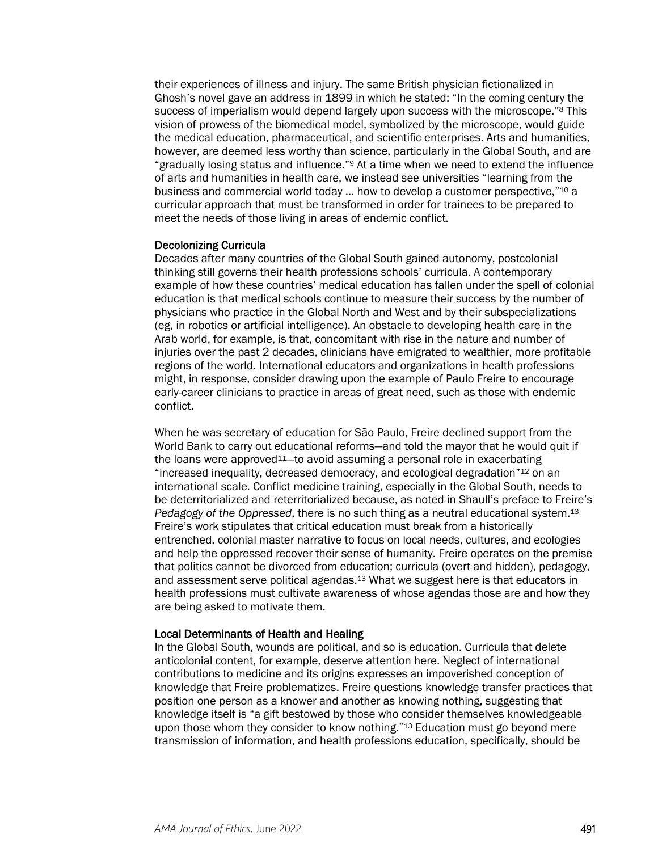their experiences of illness and injury. The same British physician fictionalized in Ghosh's novel gave an address in 1899 in which he stated: "In the coming century the success of imperialism would depend largely upon success with the microscope."<sup>8</sup> This vision of prowess of the biomedical model, symbolized by the microscope, would guide the medical education, pharmaceutical, and scientific enterprises. Arts and humanities, however, are deemed less worthy than science, particularly in the Global South, and are "gradually losing status and influence."9 At a time when we need to extend the influence of arts and humanities in health care, we instead see universities "learning from the business and commercial world today … how to develop a customer perspective,"10 a curricular approach that must be transformed in order for trainees to be prepared to meet the needs of those living in areas of endemic conflict.

#### Decolonizing Curricula

Decades after many countries of the Global South gained autonomy, postcolonial thinking still governs their health professions schools' curricula. A contemporary example of how these countries' medical education has fallen under the spell of colonial education is that medical schools continue to measure their success by the number of physicians who practice in the Global North and West and by their subspecializations (eg, in robotics or artificial intelligence). An obstacle to developing health care in the Arab world, for example, is that, concomitant with rise in the nature and number of injuries over the past 2 decades, clinicians have emigrated to wealthier, more profitable regions of the world. International educators and organizations in health professions might, in response, consider drawing upon the example of Paulo Freire to encourage early-career clinicians to practice in areas of great need, such as those with endemic conflict.

When he was secretary of education for São Paulo, Freire declined support from the World Bank to carry out educational reforms—and told the mayor that he would quit if the loans were approved<sup>11</sup>—to avoid assuming a personal role in exacerbating "increased inequality, decreased democracy, and ecological degradation"12 on an international scale. Conflict medicine training, especially in the Global South, needs to be deterritorialized and reterritorialized because, as noted in Shaull's preface to Freire's *Pedagogy of the Oppressed*, there is no such thing as a neutral educational system.13 Freire's work stipulates that critical education must break from a historically entrenched, colonial master narrative to focus on local needs, cultures, and ecologies and help the oppressed recover their sense of humanity. Freire operates on the premise that politics cannot be divorced from education; curricula (overt and hidden), pedagogy, and assessment serve political agendas.13 What we suggest here is that educators in health professions must cultivate awareness of whose agendas those are and how they are being asked to motivate them.

#### Local Determinants of Health and Healing

In the Global South, wounds are political, and so is education. Curricula that delete anticolonial content, for example, deserve attention here. Neglect of international contributions to medicine and its origins expresses an impoverished conception of knowledge that Freire problematizes. Freire questions knowledge transfer practices that position one person as a knower and another as knowing nothing, suggesting that knowledge itself is "a gift bestowed by those who consider themselves knowledgeable upon those whom they consider to know nothing."<sup>13</sup> Education must go beyond mere transmission of information, and health professions education, specifically, should be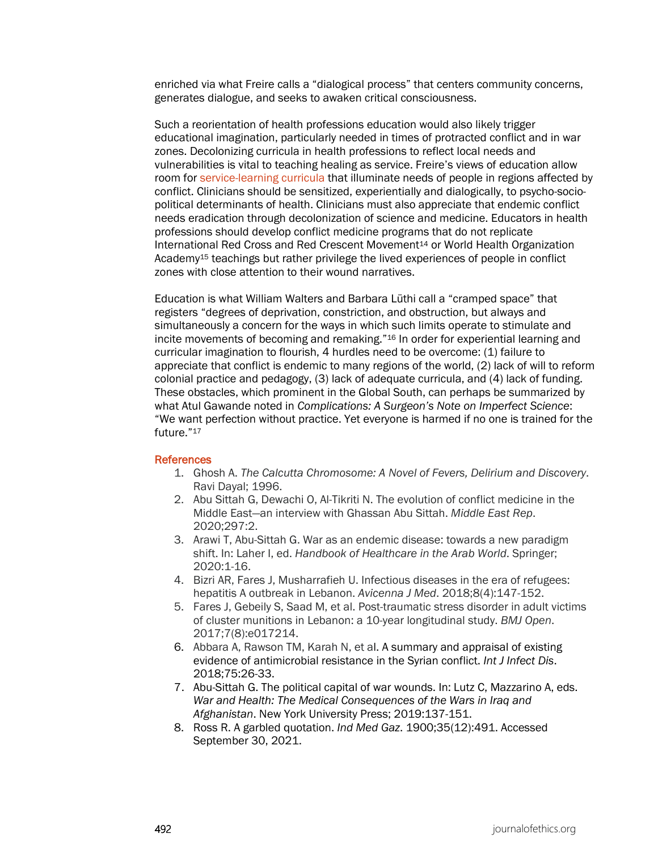enriched via what Freire calls a "dialogical process" that centers community concerns, generates dialogue, and seeks to awaken critical consciousness.

Such a reorientation of health professions education would also likely trigger educational imagination, particularly needed in times of protracted conflict and in war zones. Decolonizing curricula in health professions to reflect local needs and vulnerabilities is vital to teaching healing as service. Freire's views of education allow room for [service-learning curricula](https://journalofethics.ama-assn.org/article/training-clinicians-care-patients-where-they-are/2021-11) that illuminate needs of people in regions affected by conflict. Clinicians should be sensitized, experientially and dialogically, to psycho-sociopolitical determinants of health. Clinicians must also appreciate that endemic conflict needs eradication through decolonization of science and medicine. Educators in health professions should develop conflict medicine programs that do not replicate International Red Cross and Red Crescent Movement14 or World Health Organization Academy15 teachings but rather privilege the lived experiences of people in conflict zones with close attention to their wound narratives.

Education is what William Walters and Barbara Lüthi call a "cramped space" that registers "degrees of deprivation, constriction, and obstruction, but always and simultaneously a concern for the ways in which such limits operate to stimulate and incite movements of becoming and remaking."16 In order for experiential learning and curricular imagination to flourish, 4 hurdles need to be overcome: (1) failure to appreciate that conflict is endemic to many regions of the world, (2) lack of will to reform colonial practice and pedagogy, (3) lack of adequate curricula, and (4) lack of funding. These obstacles, which prominent in the Global South, can perhaps be summarized by what Atul Gawande noted in *Complications: A Surgeon's Note on Imperfect Science*: "We want perfection without practice. Yet everyone is harmed if no one is trained for the future."17

#### **References**

- 1. Ghosh A. *The Calcutta Chromosome: A Novel of Fevers, Delirium and Discovery*. Ravi Dayal; 1996.
- 2. Abu Sittah G, Dewachi O, Al-Tikriti N. The evolution of conflict medicine in the Middle East—an interview with Ghassan Abu Sittah. *Middle East Rep*. 2020;297:2.
- 3. Arawi T, Abu-Sittah G. War as an endemic disease: towards a new paradigm shift. In: Laher I, ed. *Handbook of Healthcare in the Arab World*. Springer; 2020:1-16.
- 4. Bizri AR, Fares J, Musharrafieh U. Infectious diseases in the era of refugees: hepatitis A outbreak in Lebanon. *Avicenna J Med*. 2018;8(4):147-152.
- 5. Fares J, Gebeily S, Saad M, et al. Post-traumatic stress disorder in adult victims of cluster munitions in Lebanon: a 10-year longitudinal study. *BMJ Open*. 2017;7(8):e017214.
- 6. Abbara A, Rawson TM, Karah N, et al. A summary and appraisal of existing evidence of antimicrobial resistance in the Syrian conflict. *Int J Infect Dis*. 2018;75:26-33.
- 7. Abu-Sittah G. The political capital of war wounds. In: Lutz C, Mazzarino A, eds. *War and Health: The Medical Consequences of the Wars in Iraq and Afghanistan*. New York University Press; 2019:137-151.
- 8. Ross R. A garbled quotation. *Ind Med Gaz*. 1900;35(12):491. Accessed September 30, 2021.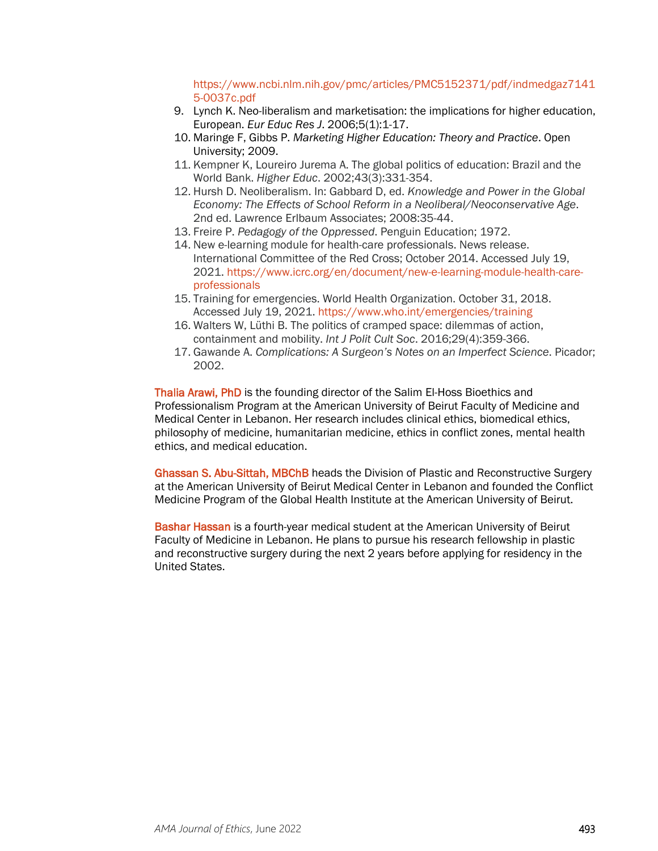[https://www.ncbi.nlm.nih.gov/pmc/articles/PMC5152371/pdf/indmedgaz7141](https://www.ncbi.nlm.nih.gov/pmc/articles/PMC5152371/pdf/indmedgaz71415-0037c.pdf) [5-0037c.pdf](https://www.ncbi.nlm.nih.gov/pmc/articles/PMC5152371/pdf/indmedgaz71415-0037c.pdf)

- 9. Lynch K. Neo-liberalism and marketisation: the implications for higher education, European. *Eur Educ Res J*. 2006;5(1):1-17.
- 10. Maringe F, Gibbs P. *Marketing Higher Education: Theory and Practice*. Open University; 2009.
- 11. Kempner K, Loureiro Jurema A. The global politics of education: Brazil and the World Bank. *Higher Educ*. 2002;43(3):331-354.
- 12. Hursh D. Neoliberalism. In: Gabbard D, ed. *Knowledge and Power in the Global Economy: The Effects of School Reform in a Neoliberal/Neoconservative Age*. 2nd ed. Lawrence Erlbaum Associates; 2008:35-44.
- 13. Freire P. *Pedagogy of the Oppressed*. Penguin Education; 1972.
- 14. New e-learning module for health-care professionals. News release. International Committee of the Red Cross; October 2014. Accessed July 19, 2021. [https://www.icrc.org/en/document/new-e-learning-module-health-care](https://www.icrc.org/en/document/new-e-learning-module-health-care-professionals)[professionals](https://www.icrc.org/en/document/new-e-learning-module-health-care-professionals)
- 15. Training for emergencies. World Health Organization. October 31, 2018. Accessed July 19, 2021.<https://www.who.int/emergencies/training>
- 16. Walters W, Lüthi B. The politics of cramped space: dilemmas of action, containment and mobility. *Int J Polit Cult Soc*. 2016;29(4):359-366.
- 17. Gawande A. *Complications: A Surgeon's Notes on an Imperfect Science*. Picador; 2002.

Thalia Arawi, PhD is the founding director of the Salim El-Hoss Bioethics and Professionalism Program at the American University of Beirut Faculty of Medicine and Medical Center in Lebanon. Her research includes clinical ethics, biomedical ethics, philosophy of medicine, humanitarian medicine, ethics in conflict zones, mental health ethics, and medical education.

Ghassan S. Abu-Sittah, MBChB heads the Division of Plastic and Reconstructive Surgery at the American University of Beirut Medical Center in Lebanon and founded the Conflict Medicine Program of the Global Health Institute at the American University of Beirut.

Bashar Hassan is a fourth-year medical student at the American University of Beirut Faculty of Medicine in Lebanon. He plans to pursue his research fellowship in plastic and reconstructive surgery during the next 2 years before applying for residency in the United States.